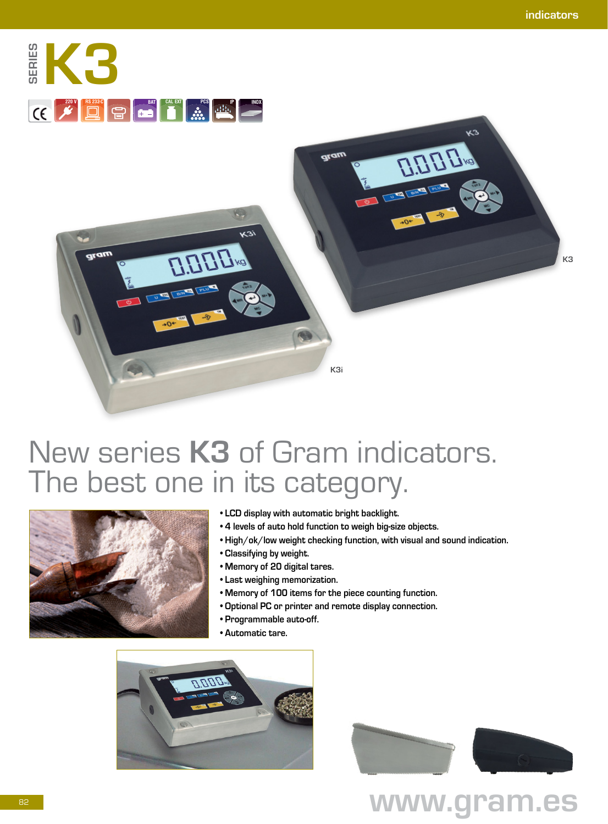



# New series **K3** of Gram indicators. The best one in its category.



- **LCD display with automatic bright backlight.**
- **4 levels of auto hold function to weigh big-size objects.**
- **High/ok/low weight checking function, with visual and sound indication.**
- **Classifying by weight.**
- **Memory of 20 digital tares.**
- **Last weighing memorization.**
- **Memory of 100 items for the piece counting function.**
- **Optional PC or printer and remote display connection.**
- **Programmable auto-off.**
- **Automatic tare.**



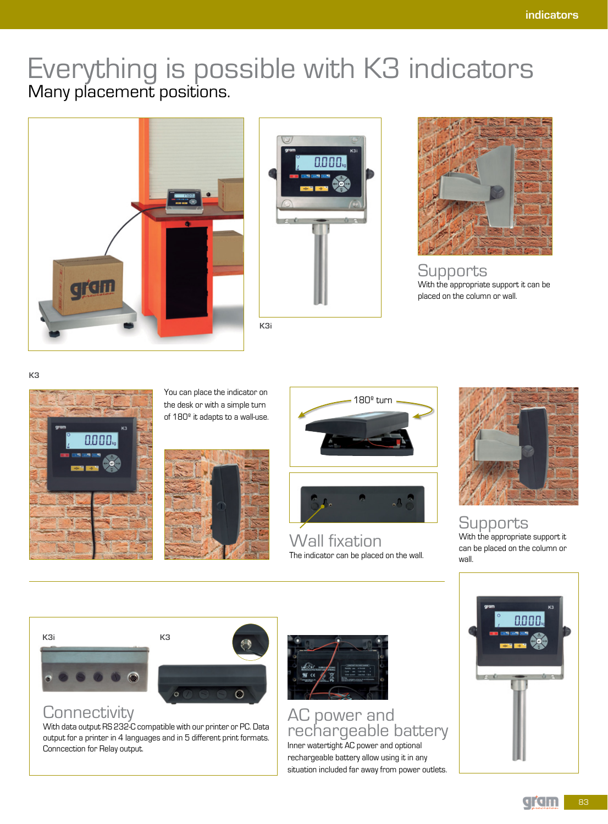# Everything is possible with K3 indicators Many placement positions.







**Supports** With the appropriate support it can be placed on the column or wall.

**K3**



You can place the indicator on the desk or with a simple turn of 180º it adapts to a wall-use.





Wall fixation The indicator can be placed on the wall.



Supports With the appropriate support it can be placed on the column or

wall.

**K3i**





## **Connectivity**

With data output RS 232-C compatible with our printer or PC. Data output for a printer in 4 languages and in 5 different print formats. Conncection for Relay output.



AC power and rechargeable battery

Inner watertight AC power and optional rechargeable battery allow using it in any situation included far away from power outlets.

83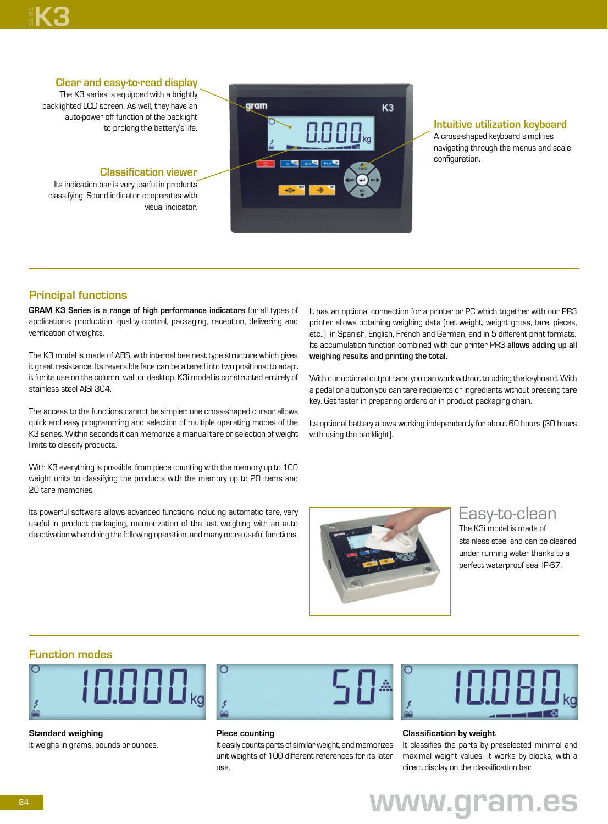# **K3**

#### **Clear and easy-to-read display**

The K3 series is equipped with a brightly backlighted LCD screen. As well, they have an auto-power off function of the backlight to prolong the battery's life.

#### **Classification viewer**

Its indication bar is very useful in products classifying. Sound indicator cooperates with visual indicator.



#### **Intuitive utilization keyboard**

A cross-shaped keyboard simplifies navigating through the menus and scale configuration.

### **Principal functions**

**GRAM K3 Series is a range of high performance indicators** for all types of applications: production, quality control, packaging, reception, delivering and verification of weights.

The K3 model is made of ABS, with internal bee nest type structure which gives it great resistance. Its reversible face can be altered into two positions: to adapt it for its use on the column, wall or desktop. K3i model is constructed entirely of stainless steel AISI 304.

The access to the functions cannot be simpler: one cross-shaped cursor allows quick and easy programming and selection of multiple operating modes of the K3 series. Within seconds it can memorize a manual tare or selection of weight limits to classify products.

With K3 everything is possible, from piece counting with the memory up to 100 weight units to classifying the products with the memory up to 20 items and 20 tare memories.

Its powerful software allows advanced functions including automatic tare, very useful in product packaging, memorization of the last weighing with an auto deactivation when doing the following operation, and many more useful functions.

It has an optional connection for a printer or PC which together with our PR3 printer allows obtaining weighing data (net weight, weight gross, tare, pieces, etc..) in Spanish, English, French and German, and in 5 different print formats. Its accumulation function combined with our printer PR3 **allows adding up all weighing results and printing the total.**

With our optional output tare, you can work without touching the keyboard. With a pedal or a button you can tare recipients or ingredients without pressing tare key. Get faster in preparing orders or in product packaging chain.

Its optional battery allows working independently for about 60 hours (30 hours with using the backlight).



## Easy-to-clean

The K3i model is made of stainless steel and can be cleaned under running water thanks to a perfect waterproof seal IP-67.

#### **Function modes**



**Standard weighing** It weighs in grams, pounds or ounces.



#### **Piece counting**

It easily counts parts of similar weight, and memorizes unit weights of 100 different references for its later use.



#### **Classification by weight**

It classifies the parts by preselected minimal and maximal weight values. It works by blocks, with a direct display on the classification bar.

# **www.gram.es**